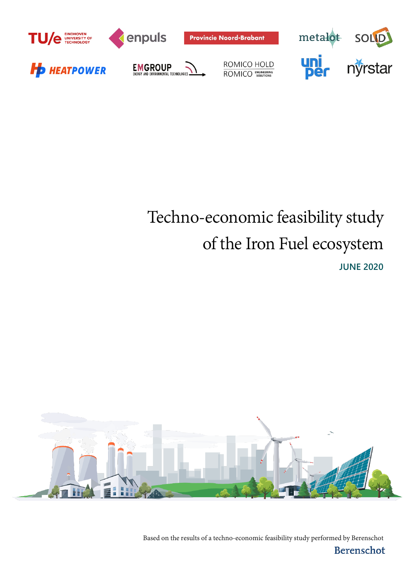

# Techno-economic feasibility study of the Iron Fuel ecosystem **JUNE 2020**



Based on the results of a techno-economic feasibility study performed by Berenschot

Berenschot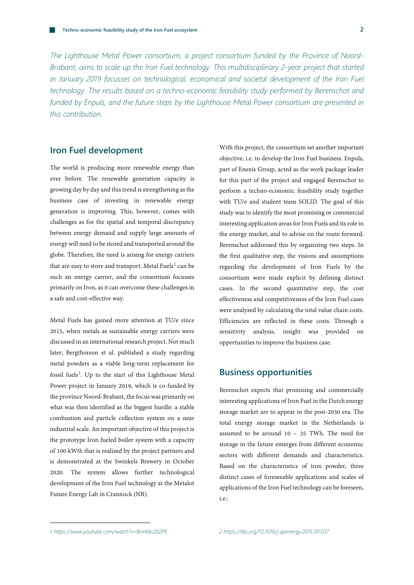*The Lighthouse Metal Power consortium, a project consortium funded by the Province of Noord-Brabant, aims to scale up the Iron Fuel technology. This multidisciplinary 2-year project that started in January 2019 focusses on technological, economical and societal development of the Iron Fuel technology. The results based on a techno-economic feasibility study performed by Berenschot and funded by Enpuls, and the future steps by the Lighthouse Metal Power consortium are presented in this contribution.*

## **Iron Fuel development**

The world is producing more renewable energy than ever before. The renewable generation capacity is growing day by day and this trend is strengthening as the business case of investing in renewable energy generation is improving. This, however, comes with challenges as for the spatial and temporal discrepancy between energy demand and supply large amounts of energy will need to be stored and transported around the globe. Therefore, the need is arising for energy carriers that are easy to store and transport. Metal Fuels<sup>[1](#page-1-0)</sup> can be such an energy carrier, and the consortium focusses primarily on Iron, as it can overcome these challenges in a safe and cost-effective way.

<span id="page-1-0"></span>Metal Fuels has gained more attention at TU/e since 2015, when metals as sustainable energy carriers were discussed in an international research project. Not much later, Bergthorson et al. published a study regarding metal powders as a viable long-term replacement for fossil fuels<sup>[2](#page-1-0)</sup>. Up to the start of this Lighthouse Metal Power project in January 2019, which is co-funded by the province Noord-Brabant, the focus was primarily on what was then identified as the biggest hurdle: a stable combustion and particle collection system on a near industrial scale. An important objective of this project is the prototype Iron fueled boiler system with a capacity of 100 kWth that is realized by the project partners and is demonstrated at the Swinkels Brewery in October 2020. The system allows further technological development of the Iron Fuel technology at the Metalot Future Energy Lab in Crannock (NB).

With this project, the consortium set another important objective, i.e. to develop the Iron Fuel business. Enpuls, part of Enexis Group, acted as the work package leader for this part of the project and engaged Berenschot to perform a techno-economic feasibility study together with TU/e and student team SOLID. The goal of this study was to identify the most promising or commercial interesting application areas for Iron Fuels and its role in the energy market, and to advise on the route forward. Berenschot addressed this by organizing two steps. In the first qualitative step, the visions and assumptions regarding the development of Iron Fuels by the consortium were made explicit by defining distinct cases. In the second quantitative step, the cost effectiveness and competitiveness of the Iron Fuel cases were analyzed by calculating the total value chain costs. Efficiencies are reflected in these costs. Through a sensitivity analysis, insight was provided on opportunities to improve the business case.

## **Business opportunities**

Berenschot expects that promising and commercially interesting applications of Iron Fuel in the Dutch energy storage market are to appear in the post-2030 era. The total energy storage market in the Netherlands is assumed to be around 10 – 35 TWh. The need for storage in the future emerges from different economic sectors with different demands and characteristics. Based on the characteristics of iron powder, three distinct cases of foreseeable applications and scales of applications of the Iron Fuel technology can be foreseen, i.e.: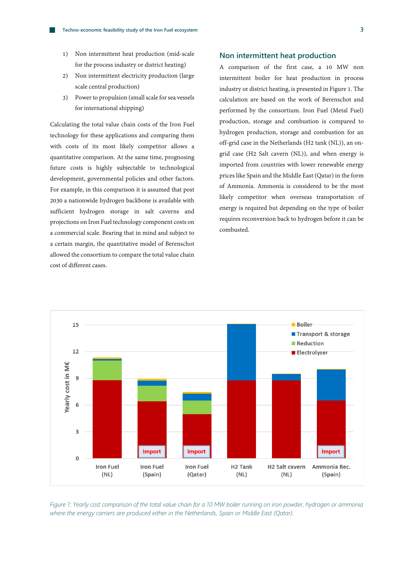- 1) Non intermittent heat production (mid-scale for the process industry or district heating)
- 2) Non intermittent electricity production (large scale central production)
- 3) Power to propulsion (small scale for sea vessels for international shipping)

Calculating the total value chain costs of the Iron Fuel technology for these applications and comparing them with costs of its most likely competitor allows a quantitative comparison. At the same time, prognosing future costs is highly subjectable to technological development, governmental policies and other factors. For example, in this comparison it is assumed that post 2030 a nationwide hydrogen backbone is available with sufficient hydrogen storage in salt caverns and projections on Iron Fuel technology component costs on a commercial scale. Bearing that in mind and subject to a certain margin, the quantitative model of Berenschot allowed the consortium to compare the total value chain cost of different cases.

#### **Non intermittent heat production**

A comparison of the first case, a 10 MW non intermittent boiler for heat production in process industry or district heating, is presented in Figure 1. The calculation are based on the work of Berenschot and performed by the consortium. Iron Fuel (Metal Fuel) production, storage and combustion is compared to hydrogen production, storage and combustion for an off-grid case in the Netherlands (H2 tank (NL)), an ongrid case (H2 Salt cavern (NL)), and when energy is imported from countries with lower renewable energy prices like Spain and the Middle East (Qatar) in the form of Ammonia. Ammonia is considered to be the most likely competitor when overseas transportation of energy is required but depending on the type of boiler requires reconversion back to hydrogen before it can be combusted.



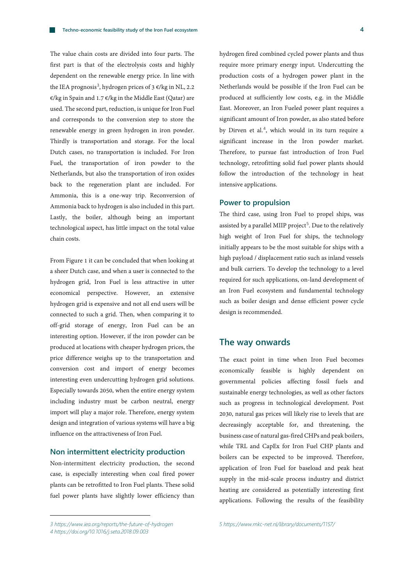The value chain costs are divided into four parts. The first part is that of the electrolysis costs and highly dependent on the renewable energy price. In line with the IEA prognosis<sup>[3](#page-3-0)</sup>, hydrogen prices of 3  $\varepsilon$ /kg in NL, 2.2 €/kg in Spain and 1.7 €/kg in the Middle East (Qatar) are used. The second part, reduction, is unique for Iron Fuel and corresponds to the conversion step to store the renewable energy in green hydrogen in iron powder. Thirdly is transportation and storage. For the local Dutch cases, no transportation is included. For Iron Fuel, the transportation of iron powder to the Netherlands, but also the transportation of iron oxides back to the regeneration plant are included. For Ammonia, this is a one-way trip. Reconversion of Ammonia back to hydrogen is also included in this part. Lastly, the boiler, although being an important technological aspect, has little impact on the total value chain costs.

From Figure 1 it can be concluded that when looking at a sheer Dutch case, and when a user is connected to the hydrogen grid, Iron Fuel is less attractive in utter economical perspective. However, an extensive hydrogen grid is expensive and not all end users will be connected to such a grid. Then, when comparing it to off-grid storage of energy, Iron Fuel can be an interesting option. However, if the iron powder can be produced at locations with cheaper hydrogen prices, the price difference weighs up to the transportation and conversion cost and import of energy becomes interesting even undercutting hydrogen grid solutions. Especially towards 2050, when the entire energy system including industry must be carbon neutral, energy import will play a major role. Therefore, energy system design and integration of various systems will have a big influence on the attractiveness of Iron Fuel.

#### **Non intermittent electricity production**

Non-intermittent electricity production, the second case, is especially interesting when coal fired power plants can be retrofitted to Iron Fuel plants. These solid fuel power plants have slightly lower efficiency than

#### **Power to propulsion**

The third case, using Iron Fuel to propel ships, was assisted by a parallel MIIP project<sup>[5](#page-3-0)</sup>. Due to the relatively high weight of Iron Fuel for ships, the technology initially appears to be the most suitable for ships with a high payload / displacement ratio such as inland vessels and bulk carriers. To develop the technology to a level required for such applications, on-land development of an Iron Fuel ecosystem and fundamental technology such as boiler design and dense efficient power cycle design is recommended.

### **The way onwards**

The exact point in time when Iron Fuel becomes economically feasible is highly dependent on governmental policies affecting fossil fuels and sustainable energy technologies, as well as other factors such as progress in technological development. Post 2030, natural gas prices will likely rise to levels that are decreasingly acceptable for, and threatening, the business case of natural gas-fired CHPs and peak boilers, while TRL and CapEx for Iron Fuel CHP plants and boilers can be expected to be improved. Therefore, application of Iron Fuel for baseload and peak heat supply in the mid-scale process industry and district heating are considered as potentially interesting first applications. Following the results of the feasibility

hydrogen fired combined cycled power plants and thus require more primary energy input. Undercutting the production costs of a hydrogen power plant in the Netherlands would be possible if the Iron Fuel can be produced at sufficiently low costs, e.g. in the Middle East. Moreover, an Iron Fueled power plant requires a significant amount of Iron powder, as also stated before by Dirven et al.<sup>[4](#page-3-1)</sup>, which would in its turn require a significant increase in the Iron powder market. Therefore, to pursue fast introduction of Iron Fuel technology, retrofitting solid fuel power plants should follow the introduction of the technology in heat intensive applications.

<span id="page-3-1"></span><span id="page-3-0"></span>*<sup>3</sup> <https://www.iea.org/reports/the-future-of-hydrogen>*

*<sup>4</sup> [https://doi.org/10.1016/j.seta.2018.09.003](https://doi-org.dianus.libr.tue.nl/10.1016/j.seta.2018.09.003)*

*<sup>5</sup> <https://www.mkc-net.nl/library/documents/1157/>*